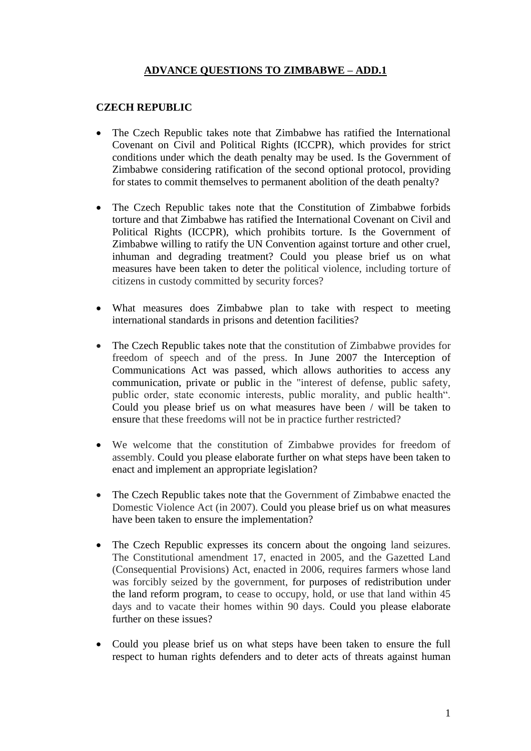## **ADVANCE QUESTIONS TO ZIMBABWE – ADD.1**

## **CZECH REPUBLIC**

- The Czech Republic takes note that Zimbabwe has ratified the International Covenant on Civil and Political Rights (ICCPR), which provides for strict conditions under which the death penalty may be used. Is the Government of Zimbabwe considering ratification of the second optional protocol, providing for states to commit themselves to permanent abolition of the death penalty?
- The Czech Republic takes note that the Constitution of Zimbabwe forbids torture and that Zimbabwe has ratified the International Covenant on Civil and Political Rights (ICCPR), which prohibits torture. Is the Government of Zimbabwe willing to ratify the UN Convention against torture and other cruel, inhuman and degrading treatment? Could you please brief us on what measures have been taken to deter the political violence, including torture of citizens in custody committed by security forces?
- What measures does Zimbabwe plan to take with respect to meeting international standards in prisons and detention facilities?
- The Czech Republic takes note that the constitution of Zimbabwe provides for freedom of speech and of the press. In June 2007 the Interception of Communications Act was passed, which allows authorities to access any communication, private or public in the "interest of defense, public safety, public order, state economic interests, public morality, and public health". Could you please brief us on what measures have been / will be taken to ensure that these freedoms will not be in practice further restricted?
- We welcome that the constitution of Zimbabwe provides for freedom of assembly. Could you please elaborate further on what steps have been taken to enact and implement an appropriate legislation?
- The Czech Republic takes note that the Government of Zimbabwe enacted the Domestic Violence Act (in 2007). Could you please brief us on what measures have been taken to ensure the implementation?
- The Czech Republic expresses its concern about the ongoing land seizures. The Constitutional amendment 17, enacted in 2005, and the Gazetted Land (Consequential Provisions) Act, enacted in 2006, requires farmers whose land was forcibly seized by the government, for purposes of redistribution under the land reform program, to cease to occupy, hold, or use that land within 45 days and to vacate their homes within 90 days. Could you please elaborate further on these issues?
- Could you please brief us on what steps have been taken to ensure the full respect to human rights defenders and to deter acts of threats against human